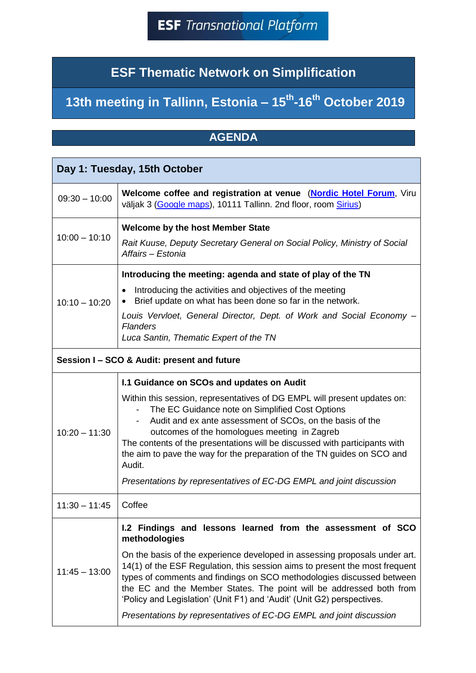## **ESF Thematic Network on Simplification**

## **13th meeting in Tallinn, Estonia – 15th -16th October 2019**

## **AGENDA**

| Day 1: Tuesday, 15th October |                                                                                                                                                                                                                                                                                                                                                                                                                                                                                                                                                                               |  |
|------------------------------|-------------------------------------------------------------------------------------------------------------------------------------------------------------------------------------------------------------------------------------------------------------------------------------------------------------------------------------------------------------------------------------------------------------------------------------------------------------------------------------------------------------------------------------------------------------------------------|--|
| $09:30 - 10:00$              | Welcome coffee and registration at venue (Nordic Hotel Forum, Viru<br>väljak 3 (Google maps), 10111 Tallinn. 2nd floor, room Sirius)                                                                                                                                                                                                                                                                                                                                                                                                                                          |  |
| $10:00 - 10:10$              | <b>Welcome by the host Member State</b><br>Rait Kuuse, Deputy Secretary General on Social Policy, Ministry of Social<br>Affairs - Estonia                                                                                                                                                                                                                                                                                                                                                                                                                                     |  |
| $10:10 - 10:20$              | Introducing the meeting: agenda and state of play of the TN<br>Introducing the activities and objectives of the meeting<br>Brief update on what has been done so far in the network.<br>Louis Vervloet, General Director, Dept. of Work and Social Economy -<br><b>Flanders</b><br>Luca Santin, Thematic Expert of the TN                                                                                                                                                                                                                                                     |  |
|                              | Session I - SCO & Audit: present and future                                                                                                                                                                                                                                                                                                                                                                                                                                                                                                                                   |  |
| $10:20 - 11:30$              | 1.1 Guidance on SCOs and updates on Audit<br>Within this session, representatives of DG EMPL will present updates on:<br>The EC Guidance note on Simplified Cost Options<br>$\blacksquare$<br>Audit and ex ante assessment of SCOs, on the basis of the<br>$\overline{\phantom{a}}$<br>outcomes of the homologues meeting in Zagreb<br>The contents of the presentations will be discussed with participants with<br>the aim to pave the way for the preparation of the TN guides on SCO and<br>Audit.<br>Presentations by representatives of EC-DG EMPL and joint discussion |  |
| $11:30 - 11:45$              | Coffee                                                                                                                                                                                                                                                                                                                                                                                                                                                                                                                                                                        |  |
| $11:45 - 13:00$              | 1.2 Findings and lessons learned from the assessment of SCO<br>methodologies<br>On the basis of the experience developed in assessing proposals under art.<br>14(1) of the ESF Regulation, this session aims to present the most frequent<br>types of comments and findings on SCO methodologies discussed between<br>the EC and the Member States. The point will be addressed both from<br>'Policy and Legislation' (Unit F1) and 'Audit' (Unit G2) perspectives.<br>Presentations by representatives of EC-DG EMPL and joint discussion                                    |  |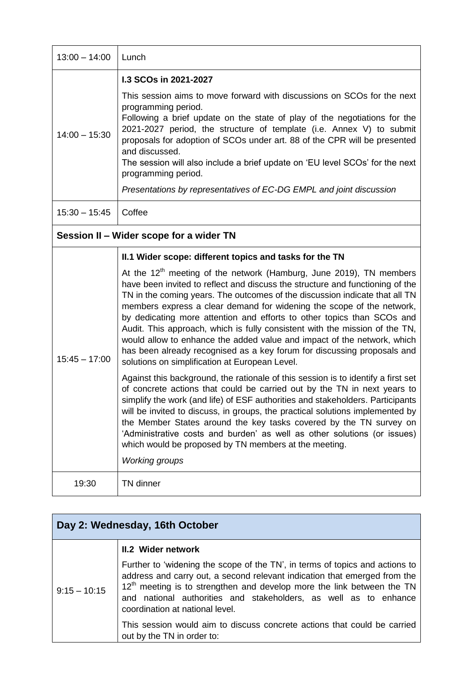| $13:00 - 14:00$                         | Lunch                                                                                                                                                                                                                                                                                                                                                                                                                                                                                                                                                                                                                                                                           |  |
|-----------------------------------------|---------------------------------------------------------------------------------------------------------------------------------------------------------------------------------------------------------------------------------------------------------------------------------------------------------------------------------------------------------------------------------------------------------------------------------------------------------------------------------------------------------------------------------------------------------------------------------------------------------------------------------------------------------------------------------|--|
|                                         | 1.3 SCOs in 2021-2027                                                                                                                                                                                                                                                                                                                                                                                                                                                                                                                                                                                                                                                           |  |
| $14:00 - 15:30$                         | This session aims to move forward with discussions on SCOs for the next<br>programming period.<br>Following a brief update on the state of play of the negotiations for the<br>2021-2027 period, the structure of template (i.e. Annex V) to submit<br>proposals for adoption of SCOs under art. 88 of the CPR will be presented<br>and discussed.<br>The session will also include a brief update on 'EU level SCOs' for the next<br>programming period.                                                                                                                                                                                                                       |  |
|                                         | Presentations by representatives of EC-DG EMPL and joint discussion                                                                                                                                                                                                                                                                                                                                                                                                                                                                                                                                                                                                             |  |
| $15:30 - 15:45$                         | Coffee                                                                                                                                                                                                                                                                                                                                                                                                                                                                                                                                                                                                                                                                          |  |
| Session II - Wider scope for a wider TN |                                                                                                                                                                                                                                                                                                                                                                                                                                                                                                                                                                                                                                                                                 |  |
|                                         | II.1 Wider scope: different topics and tasks for the TN                                                                                                                                                                                                                                                                                                                                                                                                                                                                                                                                                                                                                         |  |
| $15:45 - 17:00$                         | At the $12th$ meeting of the network (Hamburg, June 2019), TN members<br>have been invited to reflect and discuss the structure and functioning of the<br>TN in the coming years. The outcomes of the discussion indicate that all TN<br>members express a clear demand for widening the scope of the network,<br>by dedicating more attention and efforts to other topics than SCOs and<br>Audit. This approach, which is fully consistent with the mission of the TN,<br>would allow to enhance the added value and impact of the network, which<br>has been already recognised as a key forum for discussing proposals and<br>solutions on simplification at European Level. |  |
|                                         | Against this background, the rationale of this session is to identify a first set<br>of concrete actions that could be carried out by the TN in next years to<br>simplify the work (and life) of ESF authorities and stakeholders. Participants<br>will be invited to discuss, in groups, the practical solutions implemented by<br>the Member States around the key tasks covered by the TN survey on<br>'Administrative costs and burden' as well as other solutions (or issues)<br>which would be proposed by TN members at the meeting.<br><b>Working groups</b>                                                                                                            |  |
|                                         |                                                                                                                                                                                                                                                                                                                                                                                                                                                                                                                                                                                                                                                                                 |  |
| 19:30                                   | <b>TN</b> dinner                                                                                                                                                                                                                                                                                                                                                                                                                                                                                                                                                                                                                                                                |  |

| Day 2: Wednesday, 16th October |                                                                                                                                                                                                                                                                                                                                                        |  |
|--------------------------------|--------------------------------------------------------------------------------------------------------------------------------------------------------------------------------------------------------------------------------------------------------------------------------------------------------------------------------------------------------|--|
|                                | <b>II.2 Wider network</b>                                                                                                                                                                                                                                                                                                                              |  |
| $9:15 - 10:15$                 | Further to 'widening the scope of the TN', in terms of topics and actions to<br>address and carry out, a second relevant indication that emerged from the<br>12 <sup>th</sup> meeting is to strengthen and develop more the link between the TN<br>and national authorities and stakeholders, as well as to enhance<br>coordination at national level. |  |
|                                | This session would aim to discuss concrete actions that could be carried<br>out by the TN in order to:                                                                                                                                                                                                                                                 |  |